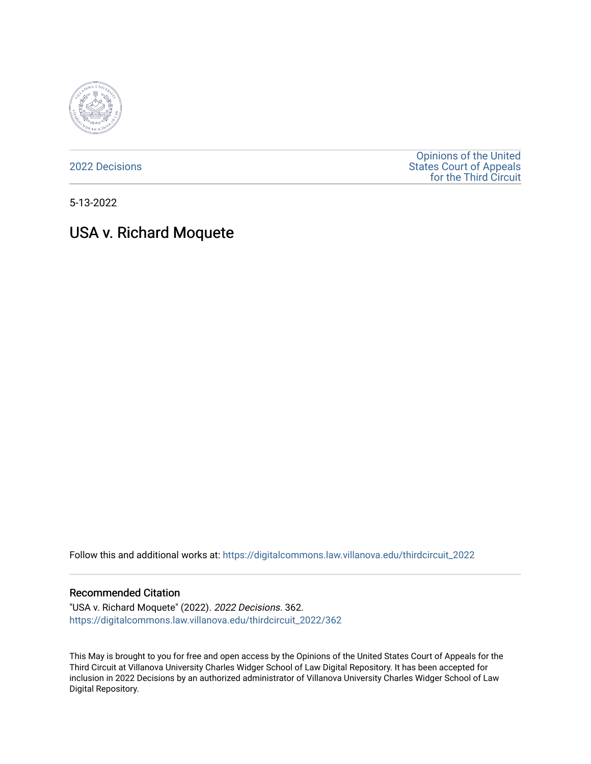

[2022 Decisions](https://digitalcommons.law.villanova.edu/thirdcircuit_2022)

[Opinions of the United](https://digitalcommons.law.villanova.edu/thirdcircuit)  [States Court of Appeals](https://digitalcommons.law.villanova.edu/thirdcircuit)  [for the Third Circuit](https://digitalcommons.law.villanova.edu/thirdcircuit) 

5-13-2022

# USA v. Richard Moquete

Follow this and additional works at: [https://digitalcommons.law.villanova.edu/thirdcircuit\\_2022](https://digitalcommons.law.villanova.edu/thirdcircuit_2022?utm_source=digitalcommons.law.villanova.edu%2Fthirdcircuit_2022%2F362&utm_medium=PDF&utm_campaign=PDFCoverPages) 

#### Recommended Citation

"USA v. Richard Moquete" (2022). 2022 Decisions. 362. [https://digitalcommons.law.villanova.edu/thirdcircuit\\_2022/362](https://digitalcommons.law.villanova.edu/thirdcircuit_2022/362?utm_source=digitalcommons.law.villanova.edu%2Fthirdcircuit_2022%2F362&utm_medium=PDF&utm_campaign=PDFCoverPages)

This May is brought to you for free and open access by the Opinions of the United States Court of Appeals for the Third Circuit at Villanova University Charles Widger School of Law Digital Repository. It has been accepted for inclusion in 2022 Decisions by an authorized administrator of Villanova University Charles Widger School of Law Digital Repository.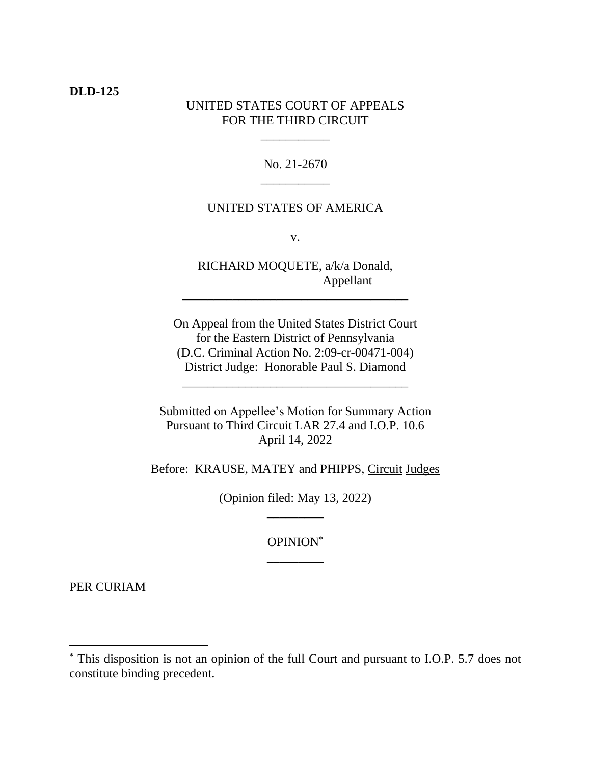### **DLD-125**

## UNITED STATES COURT OF APPEALS FOR THE THIRD CIRCUIT

\_\_\_\_\_\_\_\_\_\_\_

No. 21-2670 \_\_\_\_\_\_\_\_\_\_\_

## UNITED STATES OF AMERICA

v.

RICHARD MOQUETE, a/k/a Donald, Appellant

\_\_\_\_\_\_\_\_\_\_\_\_\_\_\_\_\_\_\_\_\_\_\_\_\_\_\_\_\_\_\_\_\_\_\_\_

On Appeal from the United States District Court for the Eastern District of Pennsylvania (D.C. Criminal Action No. 2:09-cr-00471-004) District Judge: Honorable Paul S. Diamond

\_\_\_\_\_\_\_\_\_\_\_\_\_\_\_\_\_\_\_\_\_\_\_\_\_\_\_\_\_\_\_\_\_\_\_\_

Submitted on Appellee's Motion for Summary Action Pursuant to Third Circuit LAR 27.4 and I.O.P. 10.6 April 14, 2022

Before: KRAUSE, MATEY and PHIPPS, Circuit Judges

(Opinion filed: May 13, 2022) \_\_\_\_\_\_\_\_\_

> OPINION\* \_\_\_\_\_\_\_\_\_

PER CURIAM

<sup>\*</sup> This disposition is not an opinion of the full Court and pursuant to I.O.P. 5.7 does not constitute binding precedent.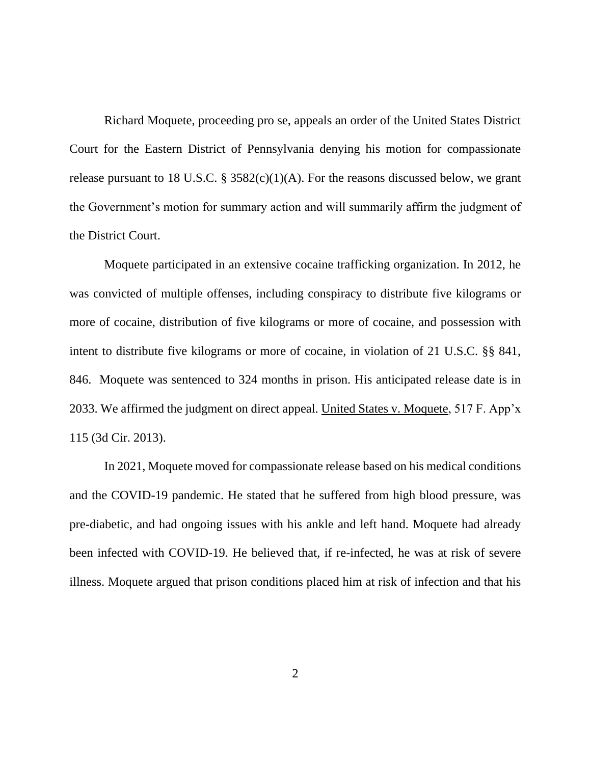Richard Moquete, proceeding pro se, appeals an order of the United States District Court for the Eastern District of Pennsylvania denying his motion for compassionate release pursuant to 18 U.S.C.  $\S 3582(c)(1)(A)$ . For the reasons discussed below, we grant the Government's motion for summary action and will summarily affirm the judgment of the District Court.

Moquete participated in an extensive cocaine trafficking organization. In 2012, he was convicted of multiple offenses, including conspiracy to distribute five kilograms or more of cocaine, distribution of five kilograms or more of cocaine, and possession with intent to distribute five kilograms or more of cocaine, in violation of 21 U.S.C. §§ 841, 846. Moquete was sentenced to 324 months in prison. His anticipated release date is in 2033. We affirmed the judgment on direct appeal. United States v. Moquete, 517 F. App'x 115 (3d Cir. 2013).

In 2021, Moquete moved for compassionate release based on his medical conditions and the COVID-19 pandemic. He stated that he suffered from high blood pressure, was pre-diabetic, and had ongoing issues with his ankle and left hand. Moquete had already been infected with COVID-19. He believed that, if re-infected, he was at risk of severe illness. Moquete argued that prison conditions placed him at risk of infection and that his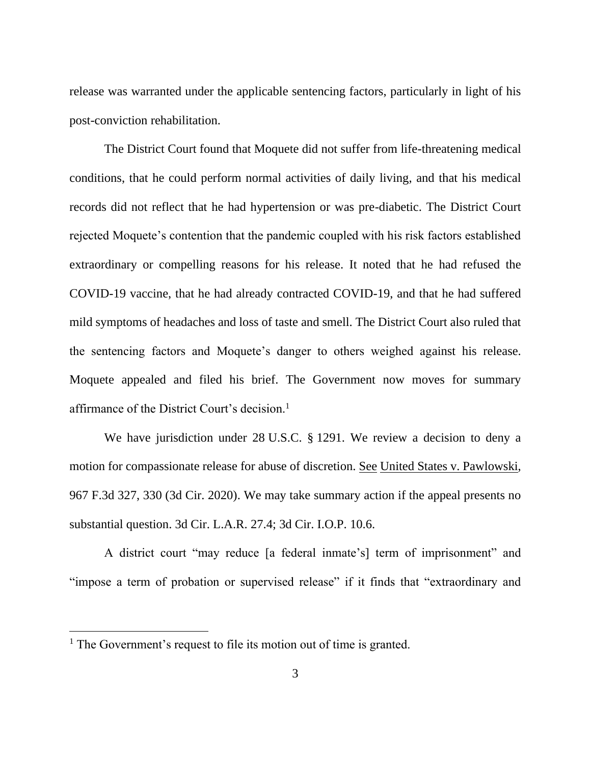release was warranted under the applicable sentencing factors, particularly in light of his post-conviction rehabilitation.

The District Court found that Moquete did not suffer from life-threatening medical conditions, that he could perform normal activities of daily living, and that his medical records did not reflect that he had hypertension or was pre-diabetic. The District Court rejected Moquete's contention that the pandemic coupled with his risk factors established extraordinary or compelling reasons for his release. It noted that he had refused the COVID-19 vaccine, that he had already contracted COVID-19, and that he had suffered mild symptoms of headaches and loss of taste and smell. The District Court also ruled that the sentencing factors and Moquete's danger to others weighed against his release. Moquete appealed and filed his brief. The Government now moves for summary affirmance of the District Court's decision.<sup>1</sup>

We have jurisdiction under 28 U.S.C. § 1291. We review a decision to deny a motion for compassionate release for abuse of discretion. See United States v. Pawlowski, 967 F.3d 327, 330 (3d Cir. 2020). We may take summary action if the appeal presents no substantial question. 3d Cir. L.A.R. 27.4; 3d Cir. I.O.P. 10.6.

A district court "may reduce [a federal inmate's] term of imprisonment" and "impose a term of probation or supervised release" if it finds that "extraordinary and

 $<sup>1</sup>$  The Government's request to file its motion out of time is granted.</sup>